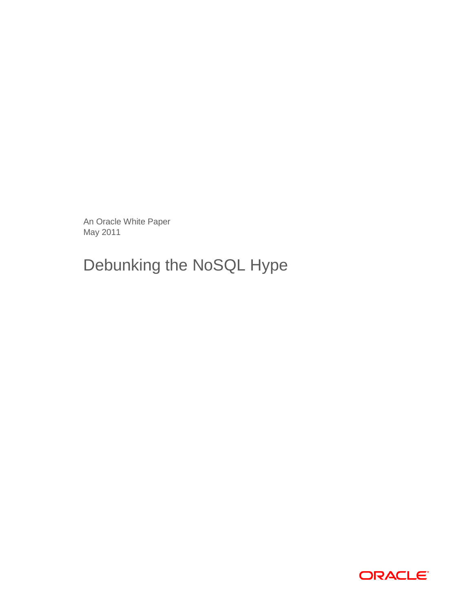An Oracle White Paper May 2011

# Debunking the NoSQL Hype

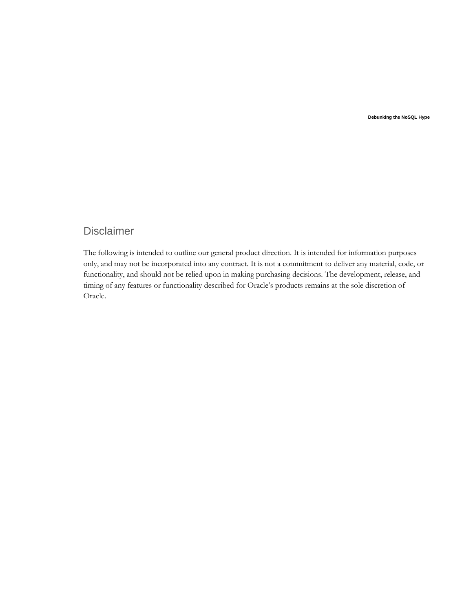**Debunking the NoSQL Hype** 

# Disclaimer

The following is intended to outline our general product direction. It is intended for information purposes only, and may not be incorporated into any contract. It is not a commitment to deliver any material, code, or functionality, and should not be relied upon in making purchasing decisions. The development, release, and timing of any features or functionality described for Oracle's products remains at the sole discretion of Oracle.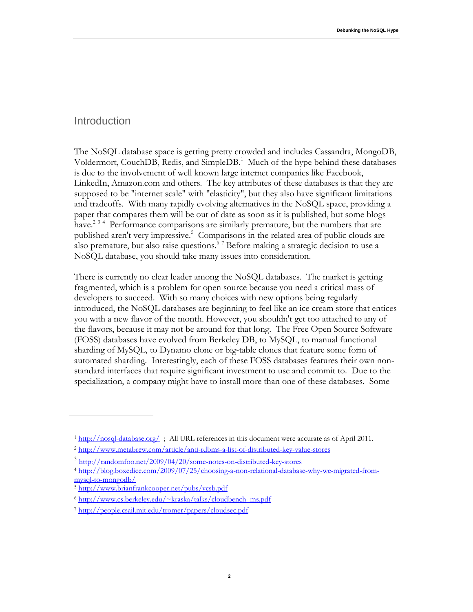#### Introduction

The NoSQL database space is getting pretty crowded and includes Cassandra, MongoDB, Voldermort, CouchDB, Redis, and SimpleDB.<sup>1</sup> Much of the hype behind these databases is due to the involvement of well known large internet companies like Facebook, LinkedIn, Amazon.com and others. The key attributes of these databases is that they are supposed to be "internet scale" with "elasticity", but they also have significant limitations and tradeoffs. With many rapidly evolving alternatives in the NoSQL space, providing a paper that compares them will be out of date as soon as it is published, but some blogs have.<sup>234</sup> Performance comparisons are similarly premature, but the numbers that are published aren't very impressive.<sup>5</sup> Comparisons in the related area of public clouds are also premature, but also raise questions. $67$  Before making a strategic decision to use a NoSQL database, you should take many issues into consideration.

There is currently no clear leader among the NoSQL databases. The market is getting fragmented, which is a problem for open source because you need a critical mass of developers to succeed. With so many choices with new options being regularly introduced, the NoSQL databases are beginning to feel like an ice cream store that entices you with a new flavor of the month. However, you shouldn't get too attached to any of the flavors, because it may not be around for that long. The Free Open Source Software (FOSS) databases have evolved from Berkeley DB, to MySQL, to manual functional sharding of MySQL, to Dynamo clone or big-table clones that feature some form of automated sharding. Interestingly, each of these FOSS databases features their own nonstandard interfaces that require significant investment to use and commit to. Due to the specialization, a company might have to install more than one of these databases. Some

<sup>&</sup>lt;sup>1</sup> http://nosql-database.org/; All URL references in this document were accurate as of April 2011.

<sup>2</sup> <http://www.metabrew.com/article/anti-rdbms-a-list-of-distributed-key-value-stores>

<sup>&</sup>lt;sup>3</sup> <http://randomfoo.net/2009/04/20/some-notes-on-distributed-key-stores>

<sup>4</sup> [http://blog.boxedice.com/2009/07/25/choosing-a-non-relational-database-why-we-migrated-from](http://blog.boxedice.com/2009/07/25/choosing-a-non-relational-database-why-we-migrated-from-mysql-to-mongodb/)[mysql-to-mongodb/](http://blog.boxedice.com/2009/07/25/choosing-a-non-relational-database-why-we-migrated-from-mysql-to-mongodb/)

<sup>5</sup> <http://www.brianfrankcooper.net/pubs/ycsb.pdf>

<sup>6</sup> [http://www.cs.berkeley.edu/~kraska/talks/cloudbench\\_ms.pdf](http://www.cs.berkeley.edu/~kraska/talks/cloudbench_ms.pdf)

<sup>7</sup> <http://people.csail.mit.edu/tromer/papers/cloudsec.pdf>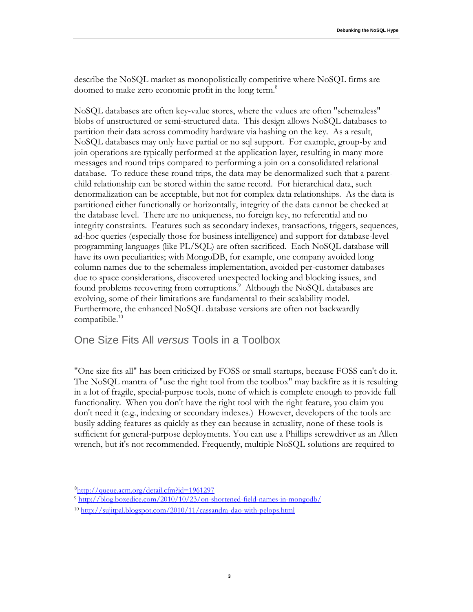describe the NoSQL market as monopolistically competitive where NoSQL firms are doomed to make zero economic profit in the long term.<sup>8</sup>

NoSQL databases are often key-value stores, where the values are often "schemaless" blobs of unstructured or semi-structured data. This design allows NoSQL databases to partition their data across commodity hardware via hashing on the key. As a result, NoSQL databases may only have partial or no sql support. For example, group-by and join operations are typically performed at the application layer, resulting in many more messages and round trips compared to performing a join on a consolidated relational database. To reduce these round trips, the data may be denormalized such that a parentchild relationship can be stored within the same record. For hierarchical data, such denormalization can be acceptable, but not for complex data relationships. As the data is partitioned either functionally or horizontally, integrity of the data cannot be checked at the database level. There are no uniqueness, no foreign key, no referential and no integrity constraints. Features such as secondary indexes, transactions, triggers, sequences, ad-hoc queries (especially those for business intelligence) and support for database-level programming languages (like PL/SQL) are often sacrificed. Each NoSQL database will have its own peculiarities; with MongoDB, for example, one company avoided long column names due to the schemaless implementation, avoided per-customer databases due to space considerations, discovered unexpected locking and blocking issues, and found problems recovering from corruptions.<sup>9</sup> Although the NoSQL databases are evolving, some of their limitations are fundamental to their scalability model. Furthermore, the enhanced NoSQL database versions are often not backwardly compatibile. 10

#### One Size Fits All *versus* Tools in a Toolbox

"One size fits all" has been criticized by FOSS or small startups, because FOSS can't do it. The NoSQL mantra of "use the right tool from the toolbox" may backfire as it is resulting in a lot of fragile, special-purpose tools, none of which is complete enough to provide full functionality. When you don't have the right tool with the right feature, you claim you don't need it (e.g., indexing or secondary indexes.) However, developers of the tools are busily adding features as quickly as they can because in actuality, none of these tools is sufficient for general-purpose deployments. You can use a Phillips screwdriver as an Allen wrench, but it's not recommended. Frequently, multiple NoSQL solutions are required to

<sup>&</sup>lt;sup>8</sup><http://queue.acm.org/detail.cfm?id=1961297>

<sup>9</sup> <http://blog.boxedice.com/2010/10/23/on-shortened-field-names-in-mongodb/>

<sup>10</sup> <http://sujitpal.blogspot.com/2010/11/cassandra-dao-with-pelops.html>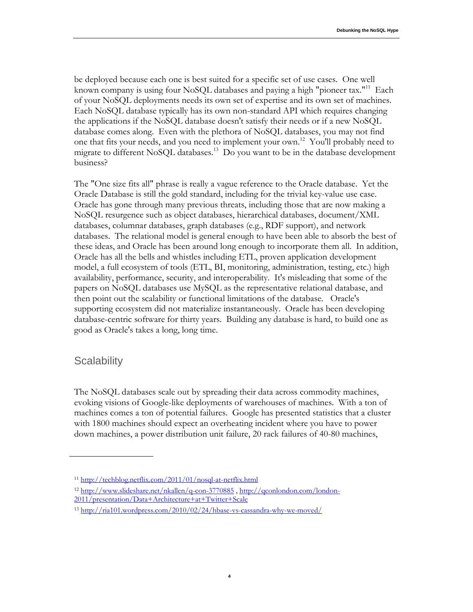be deployed because each one is best suited for a specific set of use cases. One well known company is using four NoSQL databases and paying a high "pioneer tax."<sup>11</sup> Each of your NoSQL deployments needs its own set of expertise and its own set of machines. Each NoSQL database typically has its own non-standard API which requires changing the applications if the NoSQL database doesn't satisfy their needs or if a new NoSQL database comes along. Even with the plethora of NoSQL databases, you may not find one that fits your needs, and you need to implement your own.<sup>12</sup> You'll probably need to migrate to different NoSQL databases.<sup>13</sup> Do you want to be in the database development business?

The "One size fits all" phrase is really a vague reference to the Oracle database. Yet the Oracle Database is still the gold standard, including for the trivial key-value use case. Oracle has gone through many previous threats, including those that are now making a NoSQL resurgence such as object databases, hierarchical databases, document/XML databases, columnar databases, graph databases (e.g., RDF support), and network databases. The relational model is general enough to have been able to absorb the best of these ideas, and Oracle has been around long enough to incorporate them all. In addition, Oracle has all the bells and whistles including ETL, proven application development model, a full ecosystem of tools (ETL, BI, monitoring, administration, testing, etc.) high availability, performance, security, and interoperability. It's misleading that some of the papers on NoSQL databases use MySQL as the representative relational database, and then point out the scalability or functional limitations of the database. Oracle's supporting ecosystem did not materialize instantaneously. Oracle has been developing database-centric software for thirty years. Building any database is hard, to build one as good as Oracle's takes a long, long time.

#### **Scalability**

The NoSQL databases scale out by spreading their data across commodity machines, evoking visions of Google-like deployments of warehouses of machines. With a ton of machines comes a ton of potential failures. Google has presented statistics that a cluster with 1800 machines should expect an overheating incident where you have to power down machines, a power distribution unit failure, 20 rack failures of 40-80 machines,

**4**

<sup>12</sup> <http://www.slideshare.net/nkallen/q-con-3770885> , [http://qconlondon.com/london-](http://qconlondon.com/london-2011/presentation/Data+Architecture+at+Twitter+Scale)[2011/presentation/Data+Architecture+at+Twitter+Scale](http://qconlondon.com/london-2011/presentation/Data+Architecture+at+Twitter+Scale)

<sup>11</sup> <http://techblog.netflix.com/2011/01/nosql-at-netflix.html>

<sup>13</sup> <http://ria101.wordpress.com/2010/02/24/hbase-vs-cassandra-why-we-moved/>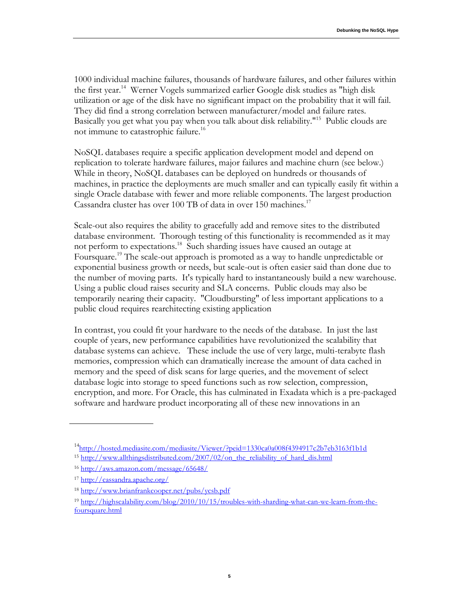1000 individual machine failures, thousands of hardware failures, and other failures within the first year.<sup>14</sup> Werner Vogels summarized earlier Google disk studies as "high disk utilization or age of the disk have no significant impact on the probability that it will fail. They did find a strong correlation between manufacturer/model and failure rates. Basically you get what you pay when you talk about disk reliability."<sup>15</sup> Public clouds are not immune to catastrophic failure.<sup>16</sup>

NoSQL databases require a specific application development model and depend on replication to tolerate hardware failures, major failures and machine churn (see below.) While in theory, NoSQL databases can be deployed on hundreds or thousands of machines, in practice the deployments are much smaller and can typically easily fit within a single Oracle database with fewer and more reliable components. The largest production Cassandra cluster has over 100 TB of data in over 150 machines.<sup>17</sup>

Scale-out also requires the ability to gracefully add and remove sites to the distributed database environment. Thorough testing of this functionality is recommended as it may not perform to expectations.<sup>18</sup> Such sharding issues have caused an outage at Foursquare.<sup>19</sup> The scale-out approach is promoted as a way to handle unpredictable or exponential business growth or needs, but scale-out is often easier said than done due to the number of moving parts. It's typically hard to instantaneously build a new warehouse. Using a public cloud raises security and SLA concerns. Public clouds may also be temporarily nearing their capacity. "Cloudbursting" of less important applications to a public cloud requires rearchitecting existing application

In contrast, you could fit your hardware to the needs of the database. In just the last couple of years, new performance capabilities have revolutionized the scalability that database systems can achieve. These include the use of very large, multi-terabyte flash memories, compression which can dramatically increase the amount of data cached in memory and the speed of disk scans for large queries, and the movement of select database logic into storage to speed functions such as row selection, compression, encryption, and more. For Oracle, this has culminated in Exadata which is a pre-packaged software and hardware product incorporating all of these new innovations in an

<sup>&</sup>lt;sup>14</sup><http://hosted.mediasite.com/mediasite/Viewer/?peid=1330ca0a008f4394917c2b7eb3163f1b1d> <sup>15</sup> [http://www.allthingsdistributed.com/2007/02/on\\_the\\_reliability\\_of\\_hard\\_dis.html](http://www.allthingsdistributed.com/2007/02/on_the_reliability_of_hard_dis.html)

<sup>16</sup> <http://aws.amazon.com/message/65648/>

<sup>17</sup> <http://cassandra.apache.org/>

<sup>18</sup> <http://www.brianfrankcooper.net/pubs/ycsb.pdf>

<sup>19</sup> [http://highscalability.com/blog/2010/10/15/troubles-with-sharding-what-can-we-learn-from-the](http://highscalability.com/blog/2010/10/15/troubles-with-sharding-what-can-we-learn-from-the-foursquare.html)[foursquare.html](http://highscalability.com/blog/2010/10/15/troubles-with-sharding-what-can-we-learn-from-the-foursquare.html)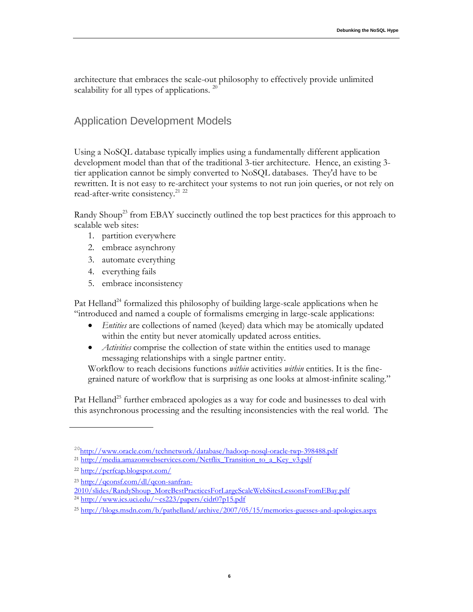architecture that embraces the scale-out philosophy to effectively provide unlimited scalability for all types of applications.  $^{20}$ 

## Application Development Models

Using a NoSQL database typically implies using a fundamentally different application development model than that of the traditional 3-tier architecture. Hence, an existing 3 tier application cannot be simply converted to NoSQL databases. They'd have to be rewritten. It is not easy to re-architect your systems to not run join queries, or not rely on read-after-write consistency.<sup>21</sup> <sup>22</sup>

Randy Shoup<sup>23</sup> from EBAY succinctly outlined the top best practices for this approach to scalable web sites:

- 1. partition everywhere
- 2. embrace asynchrony
- 3. automate everything
- 4. everything fails
- 5. embrace inconsistency

Pat Helland<sup>24</sup> formalized this philosophy of building large-scale applications when he "introduced and named a couple of formalisms emerging in large-scale applications:

- *Entities* are collections of named (keyed) data which may be atomically updated within the entity but never atomically updated across entities.
- *Activities* comprise the collection of state within the entities used to manage messaging relationships with a single partner entity.

Workflow to reach decisions functions *within* activities *within* entities. It is the finegrained nature of workflow that is surprising as one looks at almost-infinite scaling."

Pat Helland<sup>25</sup> further embraced apologies as a way for code and businesses to deal with this asynchronous processing and the resulting inconsistencies with the real world. The

<sup>&</sup>lt;sup>20</sup><http://www.oracle.com/technetwork/database/hadoop-nosql-oracle-twp-398488.pdf>

<sup>&</sup>lt;sup>21</sup> [http://media.amazonwebservices.com/Netflix\\_Transition\\_to\\_a\\_Key\\_v3.pdf](http://media.amazonwebservices.com/Netflix_Transition_to_a_Key_v3.pdf)

<sup>22</sup> <http://perfcap.blogspot.com/>

<sup>23</sup> [http://qconsf.com/dl/qcon-sanfran-](http://qconsf.com/dl/qcon-sanfran-2010/slides/RandyShoup_MoreBestPracticesForLargeScaleWebSitesLessonsFromEBay.pdf)

[<sup>2010/</sup>slides/RandyShoup\\_MoreBestPracticesForLargeScaleWebSitesLessonsFromEBay.pdf](http://qconsf.com/dl/qcon-sanfran-2010/slides/RandyShoup_MoreBestPracticesForLargeScaleWebSitesLessonsFromEBay.pdf)

<sup>24</sup> <http://www.ics.uci.edu/~cs223/papers/cidr07p15.pdf>

<sup>25</sup> <http://blogs.msdn.com/b/pathelland/archive/2007/05/15/memories-guesses-and-apologies.aspx>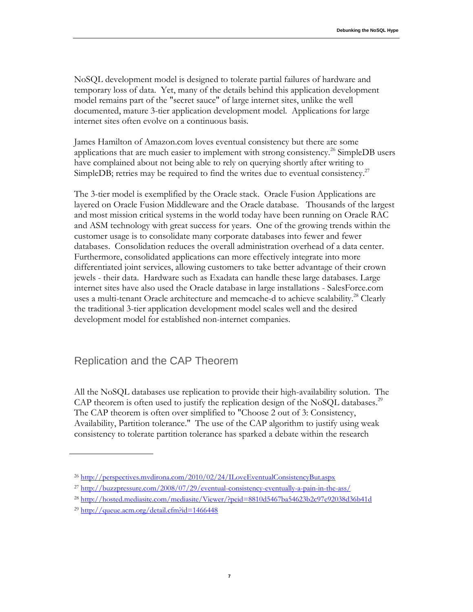NoSQL development model is designed to tolerate partial failures of hardware and temporary loss of data. Yet, many of the details behind this application development model remains part of the "secret sauce" of large internet sites, unlike the well documented, mature 3-tier application development model. Applications for large internet sites often evolve on a continuous basis.

James Hamilton of Amazon.com loves eventual consistency but there are some applications that are much easier to implement with strong consistency.<sup>26</sup> SimpleDB users have complained about not being able to rely on querying shortly after writing to SimpleDB; retries may be required to find the writes due to eventual consistency.<sup>27</sup>

The 3-tier model is exemplified by the Oracle stack. Oracle Fusion Applications are layered on Oracle Fusion Middleware and the Oracle database. Thousands of the largest and most mission critical systems in the world today have been running on Oracle RAC and ASM technology with great success for years. One of the growing trends within the customer usage is to consolidate many corporate databases into fewer and fewer databases. Consolidation reduces the overall administration overhead of a data center. Furthermore, consolidated applications can more effectively integrate into more differentiated joint services, allowing customers to take better advantage of their crown jewels - their data. Hardware such as Exadata can handle these large databases. Large internet sites have also used the Oracle database in large installations - SalesForce.com uses a multi-tenant Oracle architecture and memcache-d to achieve scalability.<sup>28</sup> Clearly the traditional 3-tier application development model scales well and the desired development model for established non-internet companies.

# Replication and the CAP Theorem

All the NoSQL databases use replication to provide their high-availability solution. The CAP theorem is often used to justify the replication design of the NoSQL databases.<sup>29</sup> The CAP theorem is often over simplified to "Choose 2 out of 3: Consistency, Availability, Partition tolerance." The use of the CAP algorithm to justify using weak consistency to tolerate partition tolerance has sparked a debate within the research

<sup>26</sup> <http://perspectives.mvdirona.com/2010/02/24/ILoveEventualConsistencyBut.aspx>

<sup>27</sup> <http://buzzpressure.com/2008/07/29/eventual-consistency-eventually-a-pain-in-the-ass/>

<sup>28</sup> <http://hosted.mediasite.com/mediasite/Viewer/?peid=8810d5467ba54623b2c97e92038d36b41d>

<sup>29</sup> <http://queue.acm.org/detail.cfm?id=1466448>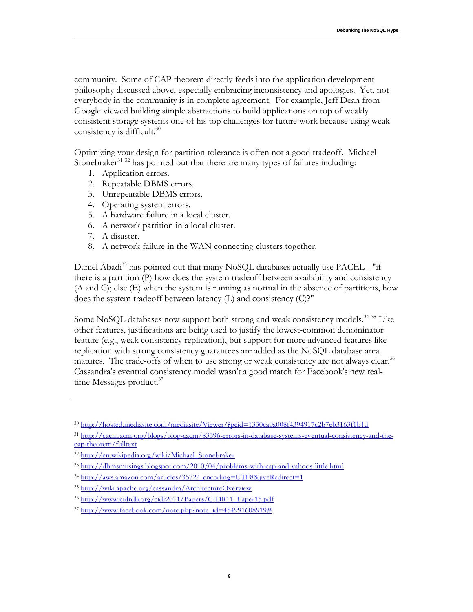community. Some of CAP theorem directly feeds into the application development philosophy discussed above, especially embracing inconsistency and apologies. Yet, not everybody in the community is in complete agreement. For example, Jeff Dean from Google viewed building simple abstractions to build applications on top of weakly consistent storage systems one of his top challenges for future work because using weak consistency is difficult. $30$ 

Optimizing your design for partition tolerance is often not a good tradeoff. Michael Stonebraker<sup>31 32</sup> has pointed out that there are many types of failures including:

- 1. Application errors.
- 2. Repeatable DBMS errors.
- 3. Unrepeatable DBMS errors.
- 4. Operating system errors.
- 5. A hardware failure in a local cluster.
- 6. A network partition in a local cluster.
- 7. A disaster.
- 8. A network failure in the WAN connecting clusters together.

Daniel Abadi<sup>33</sup> has pointed out that many NoSQL databases actually use PACEL - "if there is a partition (P) how does the system tradeoff between availability and consistency (A and C); else (E) when the system is running as normal in the absence of partitions, how does the system tradeoff between latency (L) and consistency (C)?"

Some NoSQL databases now support both strong and weak consistency models.<sup>34 35</sup> Like other features, justifications are being used to justify the lowest-common denominator feature (e.g., weak consistency replication), but support for more advanced features like replication with strong consistency guarantees are added as the NoSQL database area matures. The trade-offs of when to use strong or weak consistency are not always clear. $36$ Cassandra's eventual consistency model wasn't a good match for Facebook's new realtime Messages product.<sup>37</sup>

<sup>30</sup> <http://hosted.mediasite.com/mediasite/Viewer/?peid=1330ca0a008f4394917c2b7eb3163f1b1d>

<sup>31</sup> [http://cacm.acm.org/blogs/blog-cacm/83396-errors-in-database-systems-eventual-consistency-and-the](http://cacm.acm.org/blogs/blog-cacm/83396-errors-in-database-systems-eventual-consistency-and-the-cap-theorem/fulltext)[cap-theorem/fulltext](http://cacm.acm.org/blogs/blog-cacm/83396-errors-in-database-systems-eventual-consistency-and-the-cap-theorem/fulltext)

<sup>32</sup> http://en.wikipedia.org/wiki/Michael Stonebraker

<sup>33</sup> <http://dbmsmusings.blogspot.com/2010/04/problems-with-cap-and-yahoos-little.html>

<sup>&</sup>lt;sup>34</sup> http://aws.amazon.com/articles/3572? encoding=UTF8&jiveRedirect=1

<sup>35</sup> <http://wiki.apache.org/cassandra/ArchitectureOverview>

<sup>36</sup> [http://www.cidrdb.org/cidr2011/Papers/CIDR11\\_Paper15.pdf](http://www.cidrdb.org/cidr2011/Papers/CIDR11_Paper15.pdf)

 $37 \text{ http://www.facebook.com/note.php?note} \text{ id} = 454991608919#$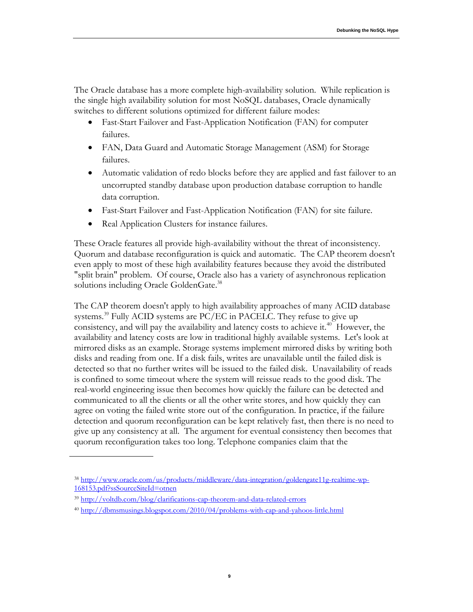The Oracle database has a more complete high-availability solution. While replication is the single high availability solution for most NoSQL databases, Oracle dynamically switches to different solutions optimized for different failure modes:

- Fast-Start Failover and Fast-Application Notification (FAN) for computer failures.
- FAN, Data Guard and Automatic Storage Management (ASM) for Storage failures.
- Automatic validation of redo blocks before they are applied and fast failover to an uncorrupted standby database upon production database corruption to handle data corruption.
- Fast-Start Failover and Fast-Application Notification (FAN) for site failure.
- Real Application Clusters for instance failures.

These Oracle features all provide high-availability without the threat of inconsistency. Quorum and database reconfiguration is quick and automatic. The CAP theorem doesn't even apply to most of these high availability features because they avoid the distributed "split brain" problem. Of course, Oracle also has a variety of asynchronous replication solutions including Oracle GoldenGate.<sup>38</sup>

The CAP theorem doesn't apply to high availability approaches of many ACID database systems.<sup>39</sup> Fully ACID systems are PC/EC in PACELC. They refuse to give up consistency, and will pay the availability and latency costs to achieve it. $40$  However, the availability and latency costs are low in traditional highly available systems. Let's look at mirrored disks as an example. Storage systems implement mirrored disks by writing both disks and reading from one. If a disk fails, writes are unavailable until the failed disk is detected so that no further writes will be issued to the failed disk. Unavailability of reads is confined to some timeout where the system will reissue reads to the good disk. The real-world engineering issue then becomes how quickly the failure can be detected and communicated to all the clients or all the other write stores, and how quickly they can agree on voting the failed write store out of the configuration. In practice, if the failure detection and quorum reconfiguration can be kept relatively fast, then there is no need to give up any consistency at all. The argument for eventual consistency then becomes that quorum reconfiguration takes too long. Telephone companies claim that the

<sup>38</sup> [http://www.oracle.com/us/products/middleware/data-integration/goldengate11g-realtime-wp-](http://www.oracle.com/us/products/middleware/data-integration/goldengate11g-realtime-wp-168153.pdf?ssSourceSiteId=otnen)[168153.pdf?ssSourceSiteId=otnen](http://www.oracle.com/us/products/middleware/data-integration/goldengate11g-realtime-wp-168153.pdf?ssSourceSiteId=otnen)

<sup>39</sup> <http://voltdb.com/blog/clarifications-cap-theorem-and-data-related-errors>

<sup>40</sup> <http://dbmsmusings.blogspot.com/2010/04/problems-with-cap-and-yahoos-little.html>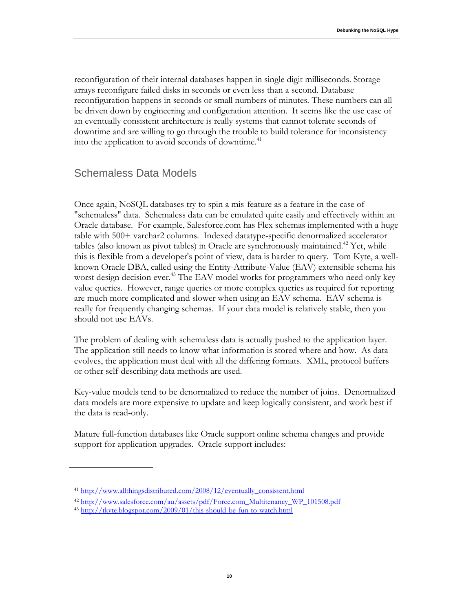reconfiguration of their internal databases happen in single digit milliseconds. Storage arrays reconfigure failed disks in seconds or even less than a second. Database reconfiguration happens in seconds or small numbers of minutes. These numbers can all be driven down by engineering and configuration attention. It seems like the use case of an eventually consistent architecture is really systems that cannot tolerate seconds of downtime and are willing to go through the trouble to build tolerance for inconsistency into the application to avoid seconds of downtime.<sup>41</sup>

#### Schemaless Data Models

Once again, NoSQL databases try to spin a mis-feature as a feature in the case of "schemaless" data. Schemaless data can be emulated quite easily and effectively within an Oracle database. For example, Salesforce.com has Flex schemas implemented with a huge table with 500+ varchar2 columns. Indexed datatype-specific denormalized accelerator tables (also known as pivot tables) in Oracle are synchronously maintained.<sup>42</sup> Yet, while this is flexible from a developer's point of view, data is harder to query. Tom Kyte, a wellknown Oracle DBA, called using the Entity-Attribute-Value (EAV) extensible schema his worst design decision ever.<sup>43</sup> The EAV model works for programmers who need only keyvalue queries. However, range queries or more complex queries as required for reporting are much more complicated and slower when using an EAV schema. EAV schema is really for frequently changing schemas. If your data model is relatively stable, then you should not use EAVs.

The problem of dealing with schemaless data is actually pushed to the application layer. The application still needs to know what information is stored where and how. As data evolves, the application must deal with all the differing formats. XML, protocol buffers or other self-describing data methods are used.

Key-value models tend to be denormalized to reduce the number of joins. Denormalized data models are more expensive to update and keep logically consistent, and work best if the data is read-only.

Mature full-function databases like Oracle support online schema changes and provide support for application upgrades. Oracle support includes:

<sup>41</sup> [http://www.allthingsdistributed.com/2008/12/eventually\\_consistent.html](http://www.allthingsdistributed.com/2008/12/eventually_consistent.html)

<sup>42</sup> [http://www.salesforce.com/au/assets/pdf/Force.com\\_Multitenancy\\_WP\\_101508.pdf](http://www.salesforce.com/au/assets/pdf/Force.com_Multitenancy_WP_101508.pdf)

<sup>43</sup> <http://tkyte.blogspot.com/2009/01/this-should-be-fun-to-watch.html>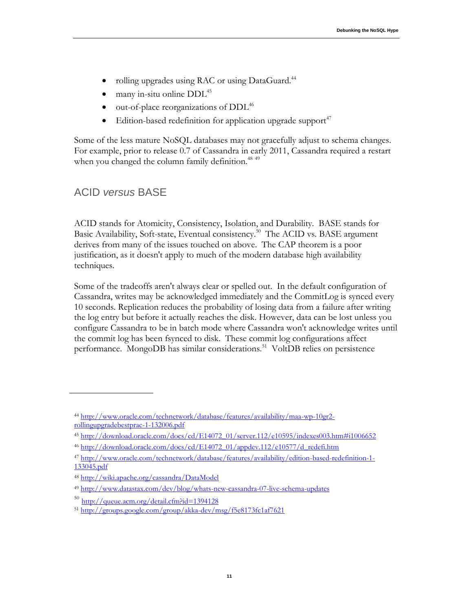- rolling upgrades using RAC or using DataGuard.<sup>44</sup>
- many in-situ online DDL<sup>45</sup>
- out-of-place reorganizations of DDL<sup>46</sup>
- Edition-based redefinition for application upgrade support<sup>47</sup>

Some of the less mature NoSQL databases may not gracefully adjust to schema changes. For example, prior to release 0.7 of Cassandra in early 2011, Cassandra required a restart when you changed the column family definition.<sup>48 49</sup>

### ACID *versus* BASE

ACID stands for Atomicity, Consistency, Isolation, and Durability. BASE stands for Basic Availability, Soft-state, Eventual consistency.<sup>50</sup> The ACID vs. BASE argument derives from many of the issues touched on above. The CAP theorem is a poor justification, as it doesn't apply to much of the modern database high availability techniques.

Some of the tradeoffs aren't always clear or spelled out. In the default configuration of Cassandra, writes may be acknowledged immediately and the CommitLog is synced every 10 seconds. Replication reduces the probability of losing data from a failure after writing the log entry but before it actually reaches the disk. However, data can be lost unless you configure Cassandra to be in batch mode where Cassandra won't acknowledge writes until the commit log has been fsynced to disk. These commit log configurations affect performance. MongoDB has similar considerations.<sup>51</sup> VoltDB relies on persistence

<sup>44</sup> [http://www.oracle.com/technetwork/database/features/availability/maa-wp-10gr2](http://www.oracle.com/technetwork/database/features/availability/maa-wp-10gr2-rollingupgradebestprac-1-132006.pdf) [rollingupgradebestprac-1-132006.pdf](http://www.oracle.com/technetwork/database/features/availability/maa-wp-10gr2-rollingupgradebestprac-1-132006.pdf)

<sup>45</sup> [http://download.oracle.com/docs/cd/E14072\\_01/server.112/e10595/indexes003.htm#i1006652](http://download.oracle.com/docs/cd/E14072_01/server.112/e10595/indexes003.htm#i1006652)

<sup>46</sup> [http://download.oracle.com/docs/cd/E14072\\_01/appdev.112/e10577/d\\_redefi.htm](http://download.oracle.com/docs/cd/E14072_01/appdev.112/e10577/d_redefi.htm)

<sup>47</sup> [http://www.oracle.com/technetwork/database/features/availability/edition-based-redefinition-1-](http://www.oracle.com/technetwork/database/features/availability/edition-based-redefinition-1-133045.pdf) [133045.pdf](http://www.oracle.com/technetwork/database/features/availability/edition-based-redefinition-1-133045.pdf)

<sup>48</sup> <http://wiki.apache.org/cassandra/DataModel>

<sup>49</sup> <http://www.datastax.com/dev/blog/whats-new-cassandra-07-live-schema-updates>

<sup>&</sup>lt;sup>50</sup> <http://queue.acm.org/detail.cfm?id=1394128>

<sup>51</sup> <http://groups.google.com/group/akka-dev/msg/f5e8173fc1af7621>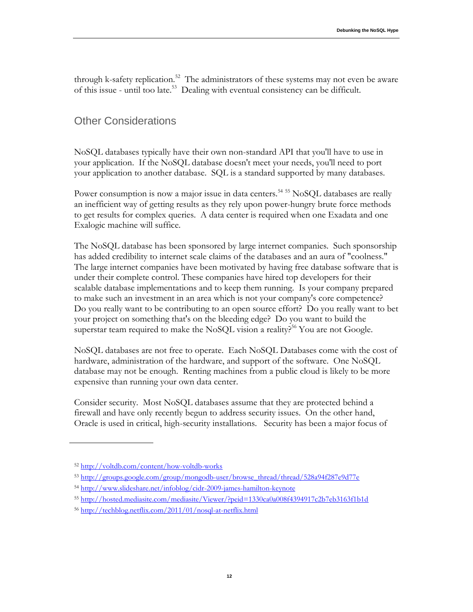through k-safety replication.<sup>52</sup> The administrators of these systems may not even be aware of this issue - until too late.<sup>53</sup> Dealing with eventual consistency can be difficult.

# Other Considerations

NoSQL databases typically have their own non-standard API that you'll have to use in your application. If the NoSQL database doesn't meet your needs, you'll need to port your application to another database. SQL is a standard supported by many databases.

Power consumption is now a major issue in data centers.<sup>54 55</sup> NoSQL databases are really an inefficient way of getting results as they rely upon power-hungry brute force methods to get results for complex queries. A data center is required when one Exadata and one Exalogic machine will suffice.

The NoSQL database has been sponsored by large internet companies. Such sponsorship has added credibility to internet scale claims of the databases and an aura of "coolness." The large internet companies have been motivated by having free database software that is under their complete control. These companies have hired top developers for their scalable database implementations and to keep them running. Is your company prepared to make such an investment in an area which is not your company's core competence? Do you really want to be contributing to an open source effort? Do you really want to bet your project on something that's on the bleeding edge? Do you want to build the superstar team required to make the NoSQL vision a reality?<sup>56</sup> You are not Google.

NoSQL databases are not free to operate. Each NoSQL Databases come with the cost of hardware, administration of the hardware, and support of the software. One NoSQL database may not be enough. Renting machines from a public cloud is likely to be more expensive than running your own data center.

Consider security. Most NoSQL databases assume that they are protected behind a firewall and have only recently begun to address security issues. On the other hand, Oracle is used in critical, high-security installations. Security has been a major focus of

<sup>52</sup> <http://voltdb.com/content/how-voltdb-works>

<sup>53</sup> [http://groups.google.com/group/mongodb-user/browse\\_thread/thread/528a94f287e9d77e](http://groups.google.com/group/mongodb-user/browse_thread/thread/528a94f287e9d77e)

<sup>54</sup> <http://www.slideshare.net/infoblog/cidr-2009-james-hamilton-keynote>

<sup>55</sup> <http://hosted.mediasite.com/mediasite/Viewer/?peid=1330ca0a008f4394917c2b7eb3163f1b1d>

<sup>56</sup> <http://techblog.netflix.com/2011/01/nosql-at-netflix.html>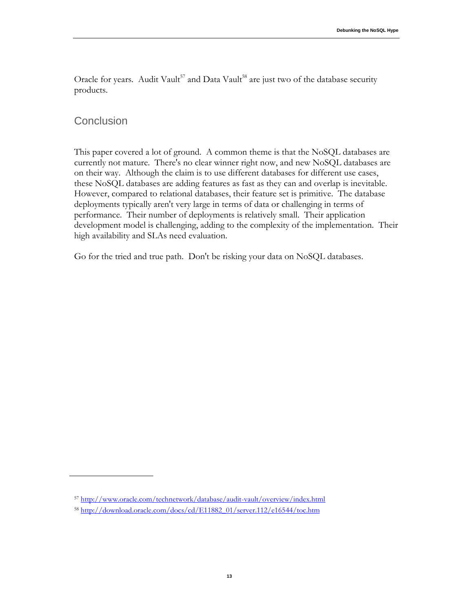Oracle for years. Audit Vault<sup>57</sup> and Data Vault<sup>58</sup> are just two of the database security products.

### **Conclusion**

This paper covered a lot of ground. A common theme is that the NoSQL databases are currently not mature. There's no clear winner right now, and new NoSQL databases are on their way. Although the claim is to use different databases for different use cases, these NoSQL databases are adding features as fast as they can and overlap is inevitable. However, compared to relational databases, their feature set is primitive. The database deployments typically aren't very large in terms of data or challenging in terms of performance. Their number of deployments is relatively small. Their application development model is challenging, adding to the complexity of the implementation. Their high availability and SLAs need evaluation.

Go for the tried and true path. Don't be risking your data on NoSQL databases.

<sup>57</sup> <http://www.oracle.com/technetwork/database/audit-vault/overview/index.html>

<sup>58</sup> [http://download.oracle.com/docs/cd/E11882\\_01/server.112/e16544/toc.htm](http://download.oracle.com/docs/cd/E11882_01/server.112/e16544/toc.htm)